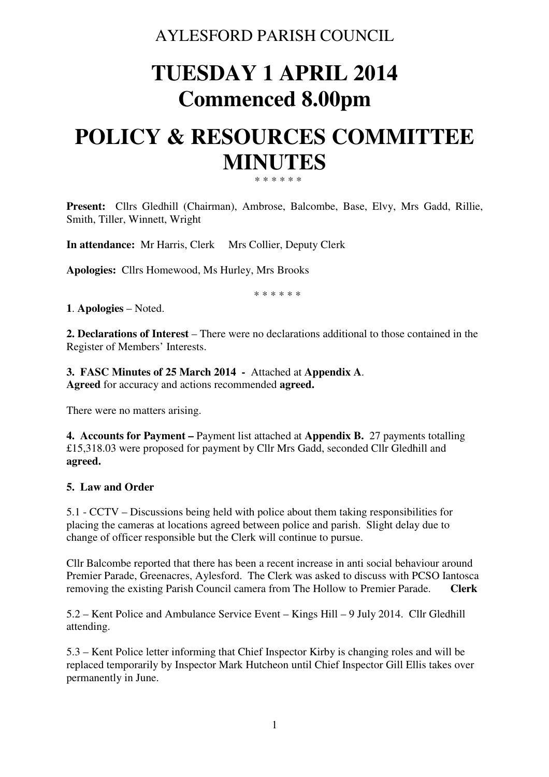# AYLESFORD PARISH COUNCIL

# **TUESDAY 1 APRIL 2014 Commenced 8.00pm**

# **POLICY & RESOURCES COMMITTEE MINUTES**  \* \* \* \* \* \*

**Present:** Cllrs Gledhill (Chairman), Ambrose, Balcombe, Base, Elvy, Mrs Gadd, Rillie, Smith, Tiller, Winnett, Wright

**In attendance:** Mr Harris, Clerk Mrs Collier, Deputy Clerk

**Apologies:** Cllrs Homewood, Ms Hurley, Mrs Brooks

\* \* \* \* \* \*

**1**. **Apologies** – Noted.

**2. Declarations of Interest** – There were no declarations additional to those contained in the Register of Members' Interests.

**3. FASC Minutes of 25 March 2014 -** Attached at **Appendix A**. **Agreed** for accuracy and actions recommended **agreed.** 

There were no matters arising.

**4. Accounts for Payment –** Payment list attached at **Appendix B.** 27 payments totalling £15,318.03 were proposed for payment by Cllr Mrs Gadd, seconded Cllr Gledhill and **agreed.** 

### **5. Law and Order**

5.1 - CCTV – Discussions being held with police about them taking responsibilities for placing the cameras at locations agreed between police and parish. Slight delay due to change of officer responsible but the Clerk will continue to pursue.

Cllr Balcombe reported that there has been a recent increase in anti social behaviour around Premier Parade, Greenacres, Aylesford. The Clerk was asked to discuss with PCSO Iantosca removing the existing Parish Council camera from The Hollow to Premier Parade. **Clerk**

5.2 – Kent Police and Ambulance Service Event – Kings Hill – 9 July 2014. Cllr Gledhill attending.

5.3 – Kent Police letter informing that Chief Inspector Kirby is changing roles and will be replaced temporarily by Inspector Mark Hutcheon until Chief Inspector Gill Ellis takes over permanently in June.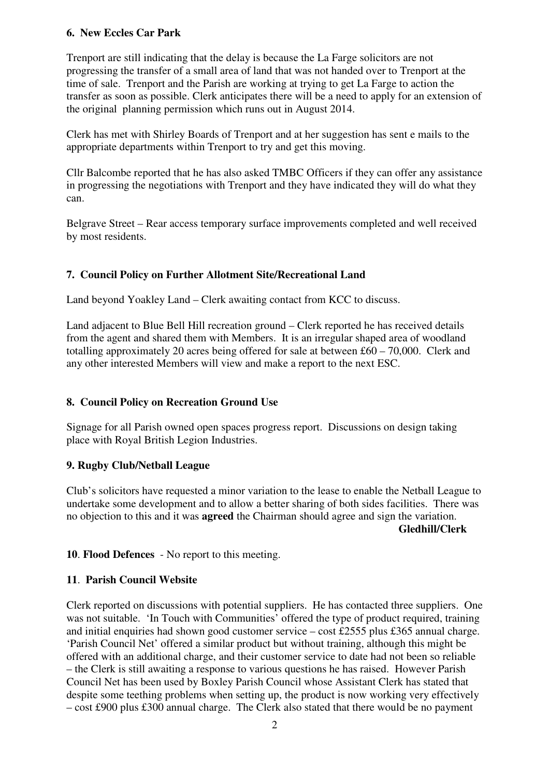# **6. New Eccles Car Park**

Trenport are still indicating that the delay is because the La Farge solicitors are not progressing the transfer of a small area of land that was not handed over to Trenport at the time of sale. Trenport and the Parish are working at trying to get La Farge to action the transfer as soon as possible. Clerk anticipates there will be a need to apply for an extension of the original planning permission which runs out in August 2014.

Clerk has met with Shirley Boards of Trenport and at her suggestion has sent e mails to the appropriate departments within Trenport to try and get this moving.

Cllr Balcombe reported that he has also asked TMBC Officers if they can offer any assistance in progressing the negotiations with Trenport and they have indicated they will do what they can.

Belgrave Street – Rear access temporary surface improvements completed and well received by most residents.

## **7. Council Policy on Further Allotment Site/Recreational Land**

Land beyond Yoakley Land – Clerk awaiting contact from KCC to discuss.

Land adjacent to Blue Bell Hill recreation ground – Clerk reported he has received details from the agent and shared them with Members. It is an irregular shaped area of woodland totalling approximately 20 acres being offered for sale at between £60 – 70,000. Clerk and any other interested Members will view and make a report to the next ESC.

### **8. Council Policy on Recreation Ground Use**

Signage for all Parish owned open spaces progress report. Discussions on design taking place with Royal British Legion Industries.

### **9. Rugby Club/Netball League**

Club's solicitors have requested a minor variation to the lease to enable the Netball League to undertake some development and to allow a better sharing of both sides facilities. There was no objection to this and it was **agreed** the Chairman should agree and sign the variation. **Gledhill/Clerk** 

### **10**. **Flood Defences** - No report to this meeting.

### **11**. **Parish Council Website**

Clerk reported on discussions with potential suppliers. He has contacted three suppliers. One was not suitable. 'In Touch with Communities' offered the type of product required, training and initial enquiries had shown good customer service – cost £2555 plus £365 annual charge. 'Parish Council Net' offered a similar product but without training, although this might be offered with an additional charge, and their customer service to date had not been so reliable – the Clerk is still awaiting a response to various questions he has raised. However Parish Council Net has been used by Boxley Parish Council whose Assistant Clerk has stated that despite some teething problems when setting up, the product is now working very effectively – cost £900 plus £300 annual charge. The Clerk also stated that there would be no payment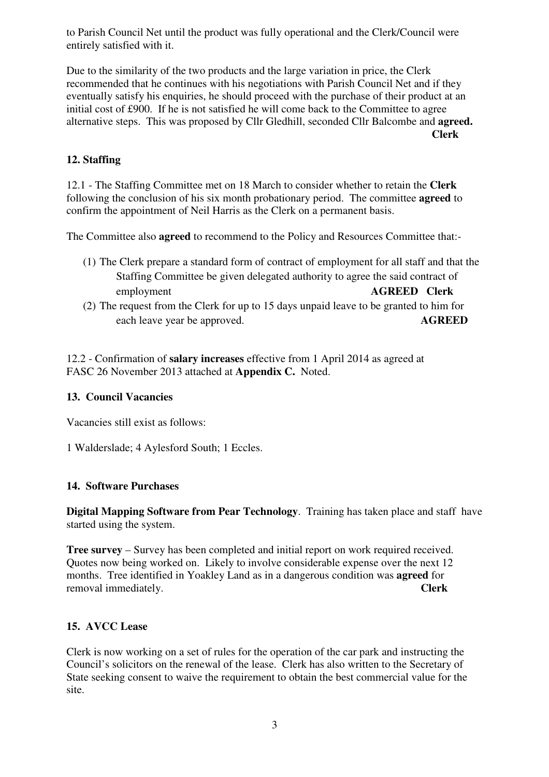to Parish Council Net until the product was fully operational and the Clerk/Council were entirely satisfied with it.

Due to the similarity of the two products and the large variation in price, the Clerk recommended that he continues with his negotiations with Parish Council Net and if they eventually satisfy his enquiries, he should proceed with the purchase of their product at an initial cost of £900. If he is not satisfied he will come back to the Committee to agree alternative steps. This was proposed by Cllr Gledhill, seconded Cllr Balcombe and **agreed. Clerk** 

# **12. Staffing**

12.1 - The Staffing Committee met on 18 March to consider whether to retain the **Clerk** following the conclusion of his six month probationary period. The committee **agreed** to confirm the appointment of Neil Harris as the Clerk on a permanent basis.

The Committee also **agreed** to recommend to the Policy and Resources Committee that:-

- (1) The Clerk prepare a standard form of contract of employment for all staff and that the Staffing Committee be given delegated authority to agree the said contract of employment **AGREED Clerk**
- (2) The request from the Clerk for up to 15 days unpaid leave to be granted to him for each leave year be approved. **AGREED**

12.2 - Confirmation of **salary increases** effective from 1 April 2014 as agreed at FASC 26 November 2013 attached at **Appendix C.** Noted.

### **13. Council Vacancies**

Vacancies still exist as follows:

1 Walderslade; 4 Aylesford South; 1 Eccles.

#### **14. Software Purchases**

**Digital Mapping Software from Pear Technology**. Training has taken place and staff have started using the system.

**Tree survey** – Survey has been completed and initial report on work required received. Quotes now being worked on. Likely to involve considerable expense over the next 12 months. Tree identified in Yoakley Land as in a dangerous condition was **agreed** for removal immediately. **Clerk** 

#### **15. AVCC Lease**

Clerk is now working on a set of rules for the operation of the car park and instructing the Council's solicitors on the renewal of the lease. Clerk has also written to the Secretary of State seeking consent to waive the requirement to obtain the best commercial value for the site.